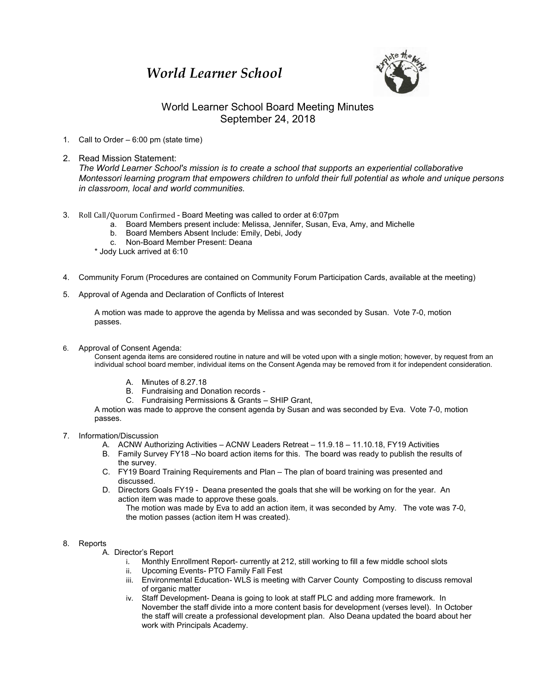## *World Learner School*



## World Learner School Board Meeting Minutes September 24, 2018

- 1. Call to Order 6:00 pm (state time)
- 2. Read Mission Statement:

*The World Learner School's mission is to create a school that supports an experiential collaborative Montessori learning program that empowers children to unfold their full potential as whole and unique persons in classroom, local and world communities.*

- 3. Roll Call/Quorum Confirmed Board Meeting was called to order at 6:07pm
	- a. Board Members present include: Melissa, Jennifer, Susan, Eva, Amy, and Michelle
	- b. Board Members Absent Include: Emily, Debi, Jody
	- c. Non-Board Member Present: Deana
	- \* Jody Luck arrived at 6:10
- 4. Community Forum (Procedures are contained on Community Forum Participation Cards, available at the meeting)
- 5. Approval of Agenda and Declaration of Conflicts of Interest

A motion was made to approve the agenda by Melissa and was seconded by Susan. Vote 7-0, motion passes.

6. Approval of Consent Agenda:

Consent agenda items are considered routine in nature and will be voted upon with a single motion; however, by request from an individual school board member, individual items on the Consent Agenda may be removed from it for independent consideration.

- A. Minutes of 8.27.18
- B. Fundraising and Donation records -
- C. Fundraising Permissions & Grants SHIP Grant,

A motion was made to approve the consent agenda by Susan and was seconded by Eva. Vote 7-0, motion passes.

- 7. Information/Discussion
	- A. ACNW Authorizing Activities ACNW Leaders Retreat 11.9.18 11.10.18, FY19 Activities
	- B. Family Survey FY18 –No board action items for this. The board was ready to publish the results of the survey.
	- C. FY19 Board Training Requirements and Plan The plan of board training was presented and discussed.
	- D. Directors Goals FY19 Deana presented the goals that she will be working on for the year. An action item was made to approve these goals.
		- The motion was made by Eva to add an action item, it was seconded by Amy. The vote was 7-0, the motion passes (action item H was created).

## 8. Reports

- A. Director's Report
	- i. Monthly Enrollment Report- currently at 212, still working to fill a few middle school slots
	- ii. Upcoming Events- PTO Family Fall Fest
	- iii. Environmental Education- WLS is meeting with Carver County Composting to discuss removal of organic matter
	- iv. Staff Development- Deana is going to look at staff PLC and adding more framework. In November the staff divide into a more content basis for development (verses level). In October the staff will create a professional development plan. Also Deana updated the board about her work with Principals Academy.